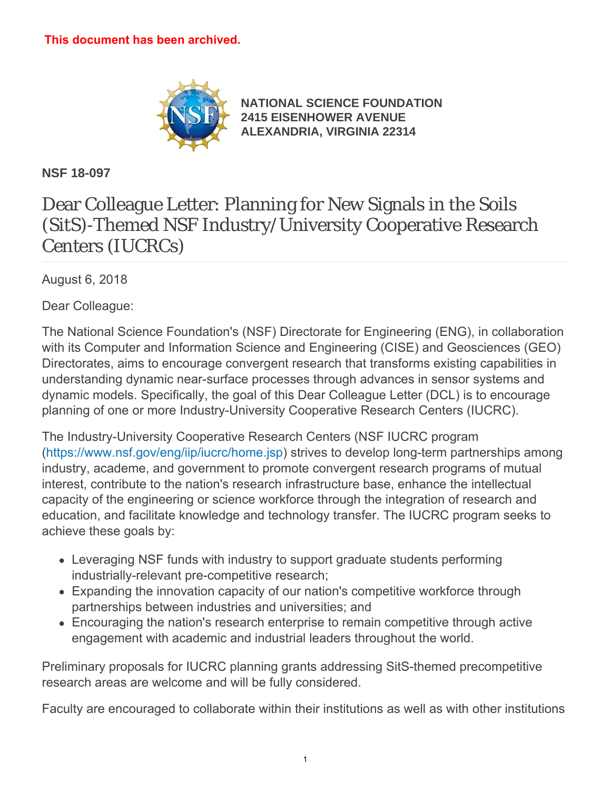

**[NATIONAL SCIENCE FOUNDATION](https://www.nsf.gov/) [2415 EISENHOWER AVENUE](https://www.nsf.gov/) [ALEXANDRIA, VIRGINIA 22314](https://www.nsf.gov/)**

**NSF 18-097**

## Dear Colleague Letter: Planning for New Signals in the Soils (SitS)-Themed NSF Industry/University Cooperative Research Centers (IUCRCs)

August 6, 2018

Dear Colleague:

The National Science Foundation's (NSF) Directorate for Engineering (ENG), in collaboration with its Computer and Information Science and Engineering (CISE) and Geosciences (GEO) Directorates, aims to encourage convergent research that transforms existing capabilities in understanding dynamic near-surface processes through advances in sensor systems and dynamic models. Specifically, the goal of this Dear Colleague Letter (DCL) is to encourage planning of one or more Industry-University Cooperative Research Centers (IUCRC).

The Industry-University Cooperative Research Centers (NSF IUCRC program [\(https://www.nsf.gov/eng/iip/iucrc/home.jsp](https://www.nsf.gov/eng/iip/iucrc/home.jsp)) strives to develop long-term partnerships among industry, academe, and government to promote convergent research programs of mutual interest, contribute to the nation's research infrastructure base, enhance the intellectual capacity of the engineering or science workforce through the integration of research and education, and facilitate knowledge and technology transfer. The IUCRC program seeks to achieve these goals by:

- Leveraging NSF funds with industry to support graduate students performing industrially-relevant pre-competitive research;
- Expanding the innovation capacity of our nation's competitive workforce through partnerships between industries and universities; and
- Encouraging the nation's research enterprise to remain competitive through active engagement with academic and industrial leaders throughout the world.

Preliminary proposals for IUCRC planning grants addressing SitS-themed precompetitive research areas are welcome and will be fully considered.

Faculty are encouraged to collaborate within their institutions as well as with other institutions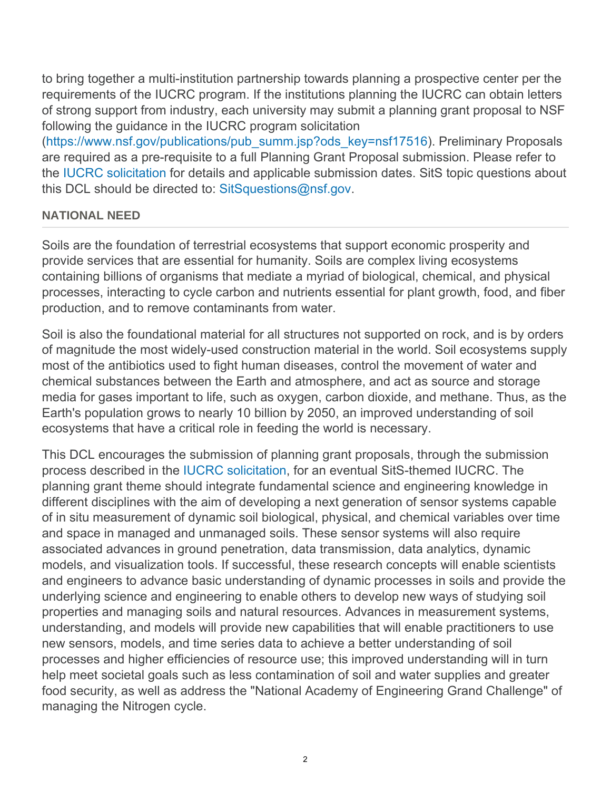to bring together a multi-institution partnership towards planning a prospective center per the requirements of the IUCRC program. If the institutions planning the IUCRC can obtain letters of strong support from industry, each university may submit a planning grant proposal to NSF following the guidance in the IUCRC program solicitation

([https://www.nsf.gov/publications/pub\\_summ.jsp?ods\\_key=nsf17516](https://www.nsf.gov/publications/pub_summ.jsp?ods_key=nsf17516)). Preliminary Proposals are required as a pre-requisite to a full Planning Grant Proposal submission. Please refer to the [IUCRC solicitation](https://www.nsf.gov/publications/pub_summ.jsp?ods_key=nsf17516) for details and applicable submission dates. SitS topic questions about this DCL should be directed to: [SitSquestions@nsf.gov](mailto:SitSquestions@nsf.gov).

## **NATIONAL NEED**

Soils are the foundation of terrestrial ecosystems that support economic prosperity and provide services that are essential for humanity. Soils are complex living ecosystems containing billions of organisms that mediate a myriad of biological, chemical, and physical processes, interacting to cycle carbon and nutrients essential for plant growth, food, and fiber production, and to remove contaminants from water.

Soil is also the foundational material for all structures not supported on rock, and is by orders of magnitude the most widely-used construction material in the world. Soil ecosystems supply most of the antibiotics used to fight human diseases, control the movement of water and chemical substances between the Earth and atmosphere, and act as source and storage media for gases important to life, such as oxygen, carbon dioxide, and methane. Thus, as the Earth's population grows to nearly 10 billion by 2050, an improved understanding of soil ecosystems that have a critical role in feeding the world is necessary.

This DCL encourages the submission of planning grant proposals, through the submission process described in the [IUCRC solicitation](https://www.nsf.gov/publications/pub_summ.jsp?ods_key=nsf17516), for an eventual SitS-themed IUCRC. The planning grant theme should integrate fundamental science and engineering knowledge in different disciplines with the aim of developing a next generation of sensor systems capable of in situ measurement of dynamic soil biological, physical, and chemical variables over time and space in managed and unmanaged soils. These sensor systems will also require associated advances in ground penetration, data transmission, data analytics, dynamic models, and visualization tools. If successful, these research concepts will enable scientists and engineers to advance basic understanding of dynamic processes in soils and provide the underlying science and engineering to enable others to develop new ways of studying soil properties and managing soils and natural resources. Advances in measurement systems, understanding, and models will provide new capabilities that will enable practitioners to use new sensors, models, and time series data to achieve a better understanding of soil processes and higher efficiencies of resource use; this improved understanding will in turn help meet societal goals such as less contamination of soil and water supplies and greater food security, as well as address the "National Academy of Engineering Grand Challenge" of managing the Nitrogen cycle.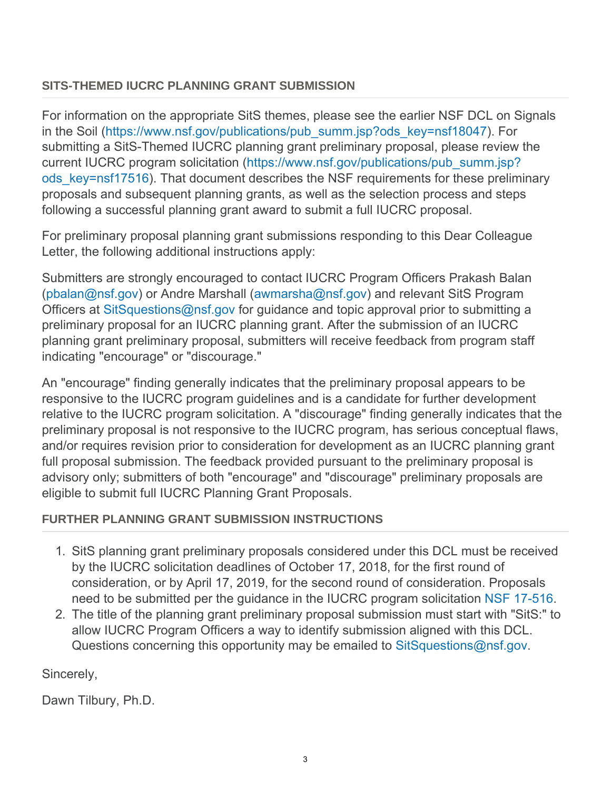## **SITS-THEMED IUCRC PLANNING GRANT SUBMISSION**

For information on the appropriate SitS themes, please see the earlier NSF DCL on Signals in the Soil ([https://www.nsf.gov/publications/pub\\_summ.jsp?ods\\_key=nsf18047](https://www.nsf.gov/publications/pub_summ.jsp?ods_key=nsf18047)). For submitting a SitS-Themed IUCRC planning grant preliminary proposal, please review the current IUCRC program solicitation ([https://www.nsf.gov/publications/pub\\_summ.jsp?](https://www.nsf.gov/publications/pub_summ.jsp?ods_key=nsf17516) ods key=nsf17516). That document describes the NSF requirements for these preliminary proposals and subsequent planning grants, as well as the selection process and steps following a successful planning grant award to submit a full IUCRC proposal.

For preliminary proposal planning grant submissions responding to this Dear Colleague Letter, the following additional instructions apply:

Submitters are strongly encouraged to contact IUCRC Program Officers Prakash Balan [\(pbalan@nsf.gov](mailto:pbalan@nsf.gov)) or Andre Marshall [\(awmarsha@nsf.gov](mailto:awmarsha@nsf.gov)) and relevant SitS Program Officers at [SitSquestions@nsf.gov](mailto:SitSquestions@nsf.gov) for guidance and topic approval prior to submitting a preliminary proposal for an IUCRC planning grant. After the submission of an IUCRC planning grant preliminary proposal, submitters will receive feedback from program staff indicating "encourage" or "discourage."

An "encourage" finding generally indicates that the preliminary proposal appears to be responsive to the IUCRC program guidelines and is a candidate for further development relative to the IUCRC program solicitation. A "discourage" finding generally indicates that the preliminary proposal is not responsive to the IUCRC program, has serious conceptual flaws, and/or requires revision prior to consideration for development as an IUCRC planning grant full proposal submission. The feedback provided pursuant to the preliminary proposal is advisory only; submitters of both "encourage" and "discourage" preliminary proposals are eligible to submit full IUCRC Planning Grant Proposals.

## **FURTHER PLANNING GRANT SUBMISSION INSTRUCTIONS**

- 1. SitS planning grant preliminary proposals considered under this DCL must be received by the IUCRC solicitation deadlines of October 17, 2018, for the first round of consideration, or by April 17, 2019, for the second round of consideration. Proposals need to be submitted per the guidance in the IUCRC program solicitation [NSF 17-516](https://www.nsf.gov/publications/pub_summ.jsp?ods_key=nsf17516).
- 2. The title of the planning grant preliminary proposal submission must start with "SitS:" to allow IUCRC Program Officers a way to identify submission aligned with this DCL. Questions concerning this opportunity may be emailed to [SitSquestions@nsf.gov](mailto:SitSquestions@nsf.gov).

Sincerely,

Dawn Tilbury, Ph.D.